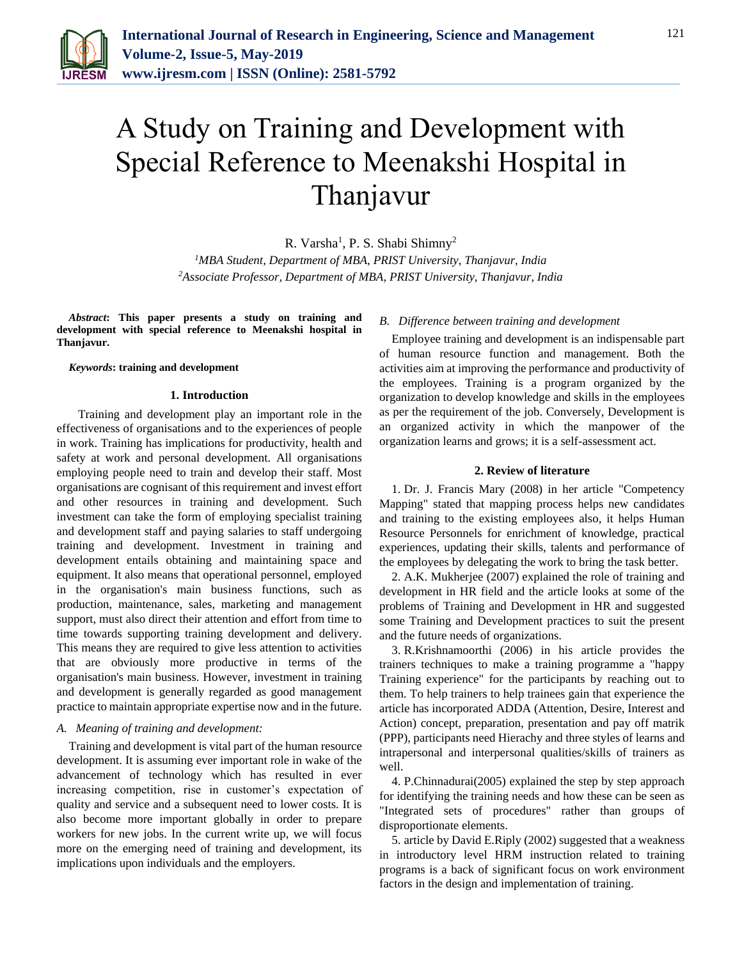

# A Study on Training and Development with Special Reference to Meenakshi Hospital in Thanjavur

R. Varsha<sup>1</sup>, P. S. Shabi Shimny<sup>2</sup>

*<sup>1</sup>MBA Student, Department of MBA, PRIST University, Thanjavur, India 2Associate Professor, Department of MBA, PRIST University, Thanjavur, India*

*Abstract***: This paper presents a study on training and development with special reference to Meenakshi hospital in Thanjavur.**

#### *Keywords***: training and development**

#### **1. Introduction**

 Training and development play an important role in the effectiveness of organisations and to the experiences of people in work. Training has implications for productivity, health and safety at work and personal development. All organisations employing people need to train and develop their staff. Most organisations are cognisant of this requirement and invest effort and other resources in training and development. Such investment can take the form of employing specialist training and development staff and paying salaries to staff undergoing training and development. Investment in training and development entails obtaining and maintaining space and equipment. It also means that operational personnel, employed in the organisation's main business functions, such as production, maintenance, sales, marketing and management support, must also direct their attention and effort from time to time towards supporting training development and delivery. This means they are required to give less attention to activities that are obviously more productive in terms of the organisation's main business. However, investment in training and development is generally regarded as good management practice to maintain appropriate expertise now and in the future.

#### *A. Meaning of training and development:*

Training and development is vital part of the human resource development. It is assuming ever important role in wake of the advancement of technology which has resulted in ever increasing competition, rise in customer's expectation of quality and service and a subsequent need to lower costs. It is also become more important globally in order to prepare workers for new jobs. In the current write up, we will focus more on the emerging need of training and development, its implications upon individuals and the employers.

#### *B. Difference between training and development*

Employee training and development is an indispensable part of human resource function and management. Both the activities aim at improving the performance and productivity of the employees. Training is a program organized by the organization to develop knowledge and skills in the employees as per the requirement of the job. Conversely, Development is an organized activity in which the manpower of the organization learns and grows; it is a self-assessment act.

#### **2. Review of literature**

1. Dr. J. Francis Mary (2008) in her article "Competency Mapping" stated that mapping process helps new candidates and training to the existing employees also, it helps Human Resource Personnels for enrichment of knowledge, practical experiences, updating their skills, talents and performance of the employees by delegating the work to bring the task better.

2. A.K. Mukherjee (2007) explained the role of training and development in HR field and the article looks at some of the problems of Training and Development in HR and suggested some Training and Development practices to suit the present and the future needs of organizations.

3. R.Krishnamoorthi (2006) in his article provides the trainers techniques to make a training programme a "happy Training experience" for the participants by reaching out to them. To help trainers to help trainees gain that experience the article has incorporated ADDA (Attention, Desire, Interest and Action) concept, preparation, presentation and pay off matrik (PPP), participants need Hierachy and three styles of learns and intrapersonal and interpersonal qualities/skills of trainers as well.

4. P.Chinnadurai(2005) explained the step by step approach for identifying the training needs and how these can be seen as "Integrated sets of procedures" rather than groups of disproportionate elements.

5. article by David E.Riply (2002) suggested that a weakness in introductory level HRM instruction related to training programs is a back of significant focus on work environment factors in the design and implementation of training.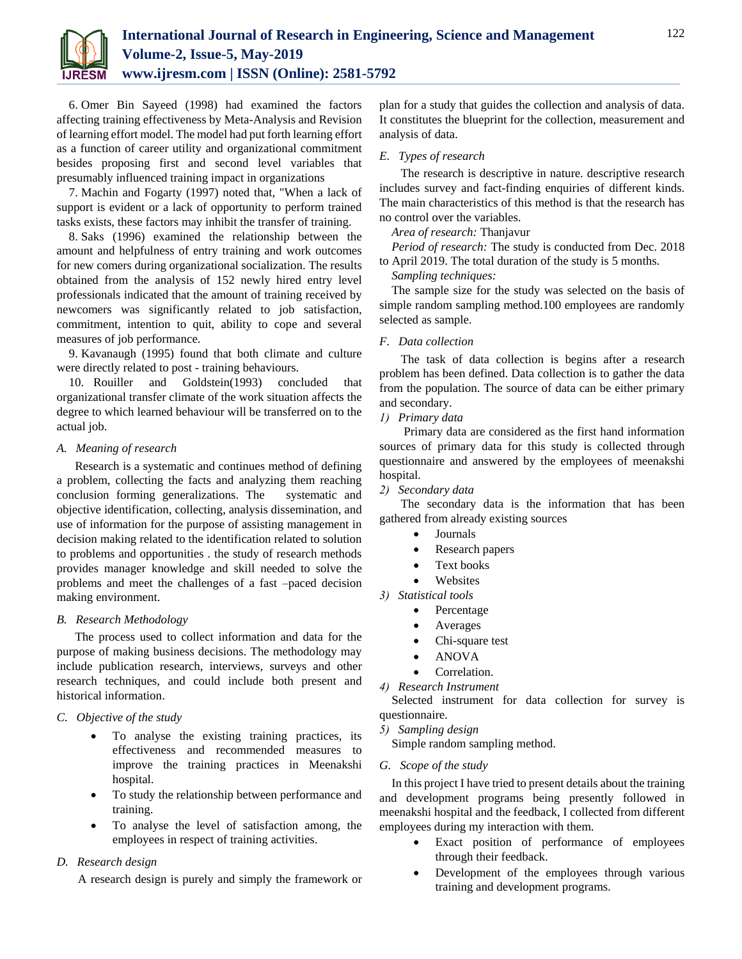

6. Omer Bin Sayeed (1998) had examined the factors affecting training effectiveness by Meta-Analysis and Revision of learning effort model. The model had put forth learning effort as a function of career utility and organizational commitment besides proposing first and second level variables that presumably influenced training impact in organizations

7. Machin and Fogarty (1997) noted that, "When a lack of support is evident or a lack of opportunity to perform trained tasks exists, these factors may inhibit the transfer of training.

8. Saks (1996) examined the relationship between the amount and helpfulness of entry training and work outcomes for new comers during organizational socialization. The results obtained from the analysis of 152 newly hired entry level professionals indicated that the amount of training received by newcomers was significantly related to job satisfaction, commitment, intention to quit, ability to cope and several measures of job performance.

9. Kavanaugh (1995) found that both climate and culture were directly related to post - training behaviours.

10. Rouiller and Goldstein(1993) concluded that organizational transfer climate of the work situation affects the degree to which learned behaviour will be transferred on to the actual job.

#### *A. Meaning of research*

 Research is a systematic and continues method of defining a problem, collecting the facts and analyzing them reaching conclusion forming generalizations. The systematic and objective identification, collecting, analysis dissemination, and use of information for the purpose of assisting management in decision making related to the identification related to solution to problems and opportunities . the study of research methods provides manager knowledge and skill needed to solve the problems and meet the challenges of a fast –paced decision making environment.

#### *B. Research Methodology*

 The process used to collect information and data for the purpose of making business decisions. The methodology may include publication research, interviews, surveys and other research techniques, and could include both present and historical information.

# *C. Objective of the study*

- To analyse the existing training practices, its effectiveness and recommended measures to improve the training practices in Meenakshi hospital.
- To study the relationship between performance and training.
- To analyse the level of satisfaction among, the employees in respect of training activities.

# *D. Research design*

A research design is purely and simply the framework or

plan for a study that guides the collection and analysis of data. It constitutes the blueprint for the collection, measurement and analysis of data.

# *E. Types of research*

 The research is descriptive in nature. descriptive research includes survey and fact-finding enquiries of different kinds. The main characteristics of this method is that the research has no control over the variables.

*Area of research:* Thanjavur

*Period of research:* The study is conducted from Dec. 2018 to April 2019. The total duration of the study is 5 months.

*Sampling techniques:*

The sample size for the study was selected on the basis of simple random sampling method.100 employees are randomly selected as sample.

# *F. Data collection*

 The task of data collection is begins after a research problem has been defined. Data collection is to gather the data from the population. The source of data can be either primary and secondary.

# *1) Primary data*

 Primary data are considered as the first hand information sources of primary data for this study is collected through questionnaire and answered by the employees of meenakshi hospital.

#### *2) Secondary data*

 The secondary data is the information that has been gathered from already existing sources

- Journals
- Research papers
- Text books
- Websites

*3) Statistical tools*

- Percentage
- Averages
- Chi-square test
- ANOVA
- Correlation.

*4) Research Instrument*

Selected instrument for data collection for survey is questionnaire.

#### *5) Sampling design*

Simple random sampling method.

#### *G. Scope of the study*

In this project I have tried to present details about the training and development programs being presently followed in meenakshi hospital and the feedback, I collected from different employees during my interaction with them.

- Exact position of performance of employees through their feedback.
- Development of the employees through various training and development programs.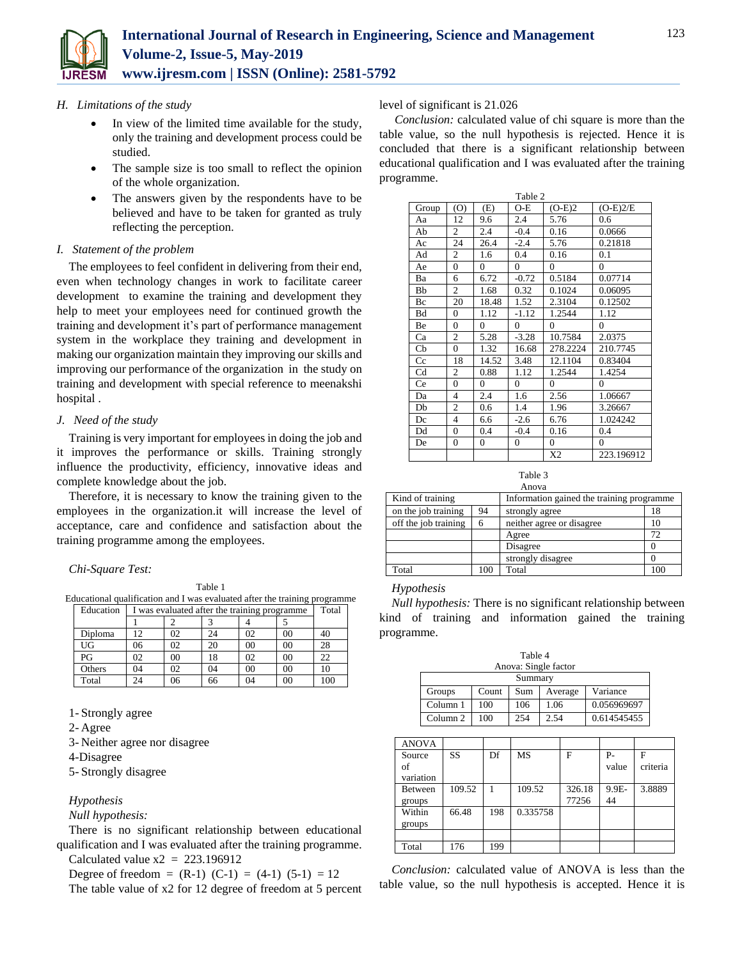

#### *H. Limitations of the study*

- In view of the limited time available for the study, only the training and development process could be studied.
- The sample size is too small to reflect the opinion of the whole organization.
- The answers given by the respondents have to be believed and have to be taken for granted as truly reflecting the perception.

# *I. Statement of the problem*

The employees to feel confident in delivering from their end, even when technology changes in work to facilitate career development to examine the training and development they help to meet your employees need for continued growth the training and development it's part of performance management system in the workplace they training and development in making our organization maintain they improving our skills and improving our performance of the organization in the study on training and development with special reference to meenakshi hospital .

#### *J. Need of the study*

Training is very important for employees in doing the job and it improves the performance or skills. Training strongly influence the productivity, efficiency, innovative ideas and complete knowledge about the job.

Therefore, it is necessary to know the training given to the employees in the organization.it will increase the level of acceptance, care and confidence and satisfaction about the training programme among the employees.

#### *Chi-Square Test:*

Table 1 Educational qualification and I was evaluated after the training programme Education I was evaluated after the training programme Total

|         | ັ  |    |            |    |          |     |
|---------|----|----|------------|----|----------|-----|
|         |    |    | $\sqrt{2}$ |    |          |     |
| Diploma | 12 | 02 | 24         | 02 | 00       | 40  |
| UG      | 06 | 02 | 20         | 00 | 00       | 28  |
| PG      | 02 | 00 | 18         | 02 | 00       | 22  |
| Others  | 04 | 02 | 04         | 00 | 00       | 10  |
| Total   | 24 | 06 | 66         | 04 | $\rm 00$ | 100 |

1- Strongly agree

2- Agree

3- Neither agree nor disagree

4-Disagree

5- Strongly disagree

# *Hypothesis*

# *Null hypothesis:*

There is no significant relationship between educational qualification and I was evaluated after the training programme.

Calculated value  $x2 = 223.196912$ 

Degree of freedom =  $(R-1)$   $(C-1)$  =  $(4-1)$   $(5-1)$  = 12

The table value of x2 for 12 degree of freedom at 5 percent

level of significant is 21.026

*Conclusion:* calculated value of chi square is more than the table value, so the null hypothesis is rejected. Hence it is concluded that there is a significant relationship between educational qualification and I was evaluated after the training programme.

| Table 2 |                         |                |                  |                  |                |  |
|---------|-------------------------|----------------|------------------|------------------|----------------|--|
| Group   | (0)                     | (E)            | $O-E$            | $(O-E)2$         | $(O-E)2/E$     |  |
| Aa      | 12                      | 9.6            | 2.4              | 5.76             | 0.6            |  |
| Ab      | $\overline{c}$          | 2.4            | $-0.4$           | 0.16             | 0.0666         |  |
| Ac      | 24                      | 26.4           | $-2.4$           | 5.76             | 0.21818        |  |
| Ad      | $\overline{c}$          | 1.6            | 0.4              | 0.16             | 0.1            |  |
| Ae      | $\overline{0}$          | 0              | $\mathbf{0}$     | $\mathbf{0}$     | $\overline{0}$ |  |
| Ba      | 6                       | 6.72           | $-0.72$          | 0.5184           | 0.07714        |  |
| Bb      | 2                       | 1.68           | 0.32             | 0.1024           | 0.06095        |  |
| Bc      | 20                      | 18.48          | 1.52             | 2.3104           | 0.12502        |  |
| Bd      | $\theta$                | 1.12           | $-1.12$          | 1.2544           | 1.12           |  |
| Be      | $\overline{0}$          | $\overline{0}$ | $\overline{0}$   | $\mathbf{0}$     | $\overline{0}$ |  |
| Ca      | 2                       | 5.28           | $-3.28$          | 10.7584          | 2.0375         |  |
| Cb      | $\theta$                | 1.32           | 16.68            | 278.2224         | 210.7745       |  |
| Cc      | 18                      | 14.52          | 3.48             | 12.1104          | 0.83404        |  |
| Cd      | $\overline{c}$          | 0.88           | 1.12             | 1.2544           | 1.4254         |  |
| Ce      | $\overline{0}$          | $\Omega$       | $\overline{0}$   | $\mathbf{0}$     | $\theta$       |  |
| Da      | $\overline{4}$          | 2.4            | 1.6              | 2.56             | 1.06667        |  |
| Db      | $\overline{c}$          | 0.6            | 1.4              | 1.96             | 3.26667        |  |
| Dc      | $\overline{\mathbf{4}}$ | 6.6            | $-2.6$           | 6.76             | 1.024242       |  |
| Dd      | $\overline{0}$          | 0.4            | $-0.4$           | 0.16             | 0.4            |  |
| De      | $\overline{0}$          | $\overline{0}$ | $\boldsymbol{0}$ | $\boldsymbol{0}$ | $\overline{0}$ |  |
|         |                         |                |                  | X <sub>2</sub>   | 223.196912     |  |

Table 3

| Anova                |     |                                           |     |  |  |
|----------------------|-----|-------------------------------------------|-----|--|--|
| Kind of training     |     | Information gained the training programme |     |  |  |
| on the job training  | 94  | strongly agree                            | 18  |  |  |
| off the job training | 6   | neither agree or disagree                 | 10  |  |  |
|                      |     | Agree                                     | 72  |  |  |
|                      |     | Disagree                                  |     |  |  |
|                      |     | strongly disagree                         |     |  |  |
| Total                | 100 | Total                                     | 100 |  |  |

#### *Hypothesis*

*Null hypothesis:* There is no significant relationship between kind of training and information gained the training programme.

| Table 4<br>Anova: Single factor |       |     |         |             |  |  |
|---------------------------------|-------|-----|---------|-------------|--|--|
| Summary                         |       |     |         |             |  |  |
| Groups                          | Count | Sum | Average | Variance    |  |  |
| Column 1                        | 100   | 106 | 1.06    | 0.056969697 |  |  |
| Column 2                        | 100   | 254 | 2.54    | 0.614545455 |  |  |

| <b>ANOVA</b> |        |     |           |        |       |          |
|--------------|--------|-----|-----------|--------|-------|----------|
| Source       | SS     | Df  | <b>MS</b> | F      | $P-$  | F        |
| of           |        |     |           |        | value | criteria |
| variation    |        |     |           |        |       |          |
| Between      | 109.52 |     | 109.52    | 326.18 | 9.9E- | 3.8889   |
| groups       |        |     |           | 77256  | 44    |          |
| Within       | 66.48  | 198 | 0.335758  |        |       |          |
| groups       |        |     |           |        |       |          |
|              |        |     |           |        |       |          |
| Total        | 176    | 199 |           |        |       |          |

*Conclusion:* calculated value of ANOVA is less than the table value, so the null hypothesis is accepted. Hence it is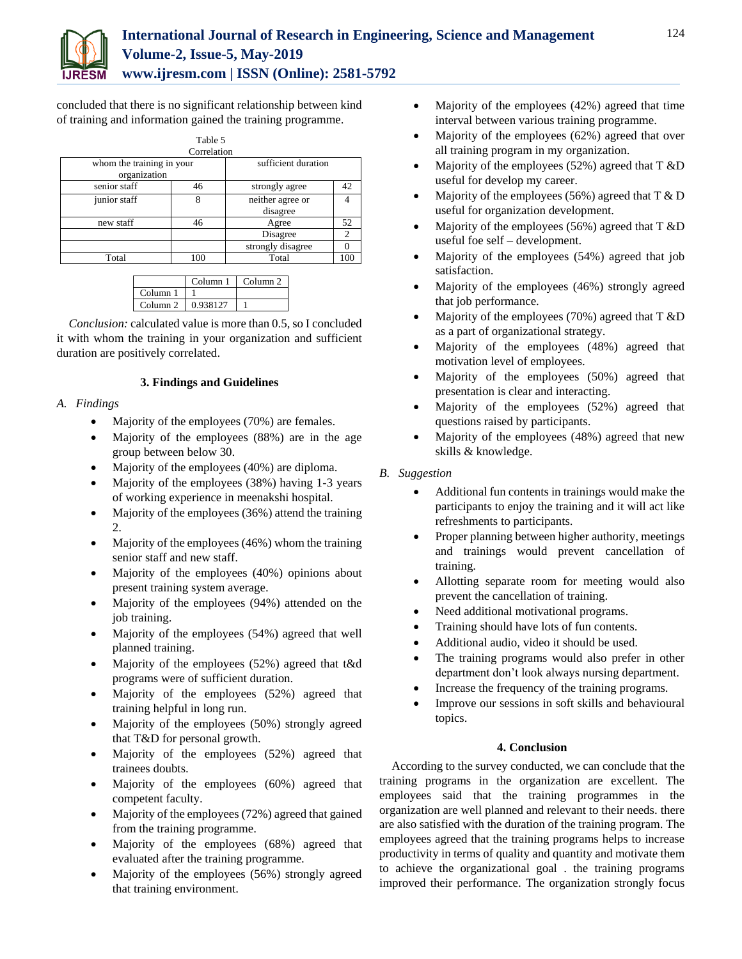

concluded that there is no significant relationship between kind of training and information gained the training programme.

|                           | Table 5             |                   |     |
|---------------------------|---------------------|-------------------|-----|
|                           | Correlation         |                   |     |
| whom the training in your | sufficient duration |                   |     |
| organization              |                     |                   |     |
| senior staff              | 46                  | strongly agree    | 42  |
| junior staff              |                     | neither agree or  |     |
|                           |                     | disagree          |     |
| new staff                 | 46                  | Agree             | 52  |
|                           |                     | Disagree          | C   |
|                           |                     | strongly disagree |     |
| Total                     | 100                 | Total             | .00 |

|                     | Column <sub>1</sub> | Column <sub>2</sub> |
|---------------------|---------------------|---------------------|
| Column <sub>1</sub> |                     |                     |
| Column <sub>2</sub> | 0.938127            |                     |

*Conclusion:* calculated value is more than 0.5, so I concluded it with whom the training in your organization and sufficient duration are positively correlated.

# **3. Findings and Guidelines**

# *A. Findings*

- Majority of the employees (70%) are females.
- Majority of the employees (88%) are in the age group between below 30.
- Majority of the employees (40%) are diploma.
- Majority of the employees (38%) having 1-3 years of working experience in meenakshi hospital.
- Majority of the employees (36%) attend the training 2.
- $\bullet$  Majority of the employees (46%) whom the training senior staff and new staff.
- Majority of the employees (40%) opinions about present training system average.
- Majority of the employees (94%) attended on the job training.
- Majority of the employees (54%) agreed that well planned training.
- Majority of the employees (52%) agreed that t&d programs were of sufficient duration.
- Majority of the employees (52%) agreed that training helpful in long run.
- Majority of the employees (50%) strongly agreed that T&D for personal growth.
- Majority of the employees (52%) agreed that trainees doubts.
- Majority of the employees (60%) agreed that competent faculty.
- Majority of the employees (72%) agreed that gained from the training programme.
- Majority of the employees (68%) agreed that evaluated after the training programme.
- Majority of the employees (56%) strongly agreed that training environment.
- Majority of the employees (42%) agreed that time interval between various training programme.
- Majority of the employees (62%) agreed that over all training program in my organization.
- Majority of the employees (52%) agreed that T &D useful for develop my career.
- Majority of the employees (56%) agreed that  $T & D$ useful for organization development.
- Majority of the employees (56%) agreed that T &D useful foe self – development.
- Majority of the employees (54%) agreed that job satisfaction.
- Majority of the employees (46%) strongly agreed that job performance.
- Majority of the employees (70%) agreed that T &D as a part of organizational strategy.
- Majority of the employees (48%) agreed that motivation level of employees.
- Majority of the employees (50%) agreed that presentation is clear and interacting.
- Majority of the employees (52%) agreed that questions raised by participants.
- Majority of the employees (48%) agreed that new skills & knowledge.

# *B. Suggestion*

- Additional fun contents in trainings would make the participants to enjoy the training and it will act like refreshments to participants.
- Proper planning between higher authority, meetings and trainings would prevent cancellation of training.
- Allotting separate room for meeting would also prevent the cancellation of training.
- Need additional motivational programs.
- Training should have lots of fun contents.
- Additional audio, video it should be used.
- The training programs would also prefer in other department don't look always nursing department.
- Increase the frequency of the training programs.
- Improve our sessions in soft skills and behavioural topics.

# **4. Conclusion**

According to the survey conducted, we can conclude that the training programs in the organization are excellent. The employees said that the training programmes in the organization are well planned and relevant to their needs. there are also satisfied with the duration of the training program. The employees agreed that the training programs helps to increase productivity in terms of quality and quantity and motivate them to achieve the organizational goal . the training programs improved their performance. The organization strongly focus